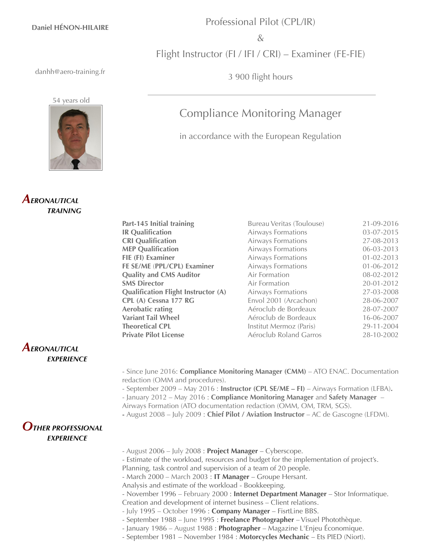#### **Daniel HÉNON-HILAIRE**

### Professional Pilot (CPL/IR)

 $\&$ 

Flight Instructor (FI / IFI / CRI) – Examiner (FE-FIE)

3 900 flight hours

Compliance Monitoring Manager

in accordance with the European Regulation

danhh@aero-training.fr

54 years old



# *AERONAUTICAL TRAINING*

#### **Part-145 Initial training** Bureau Veritas (Toulouse) 21-09-2016 **IR Qualification Airways Formations 03-07-2015 CRI Qualification Airways Formations** 27-08-2013 **MEP Qualification Airways Formations 06-03-2013 FIE (FI) Examiner** Airways Formations 01-02-2013 **FE SE/ME** (**PPL/CPL) Examiner** Airways Formations 01-06-2012 **Quality and CMS Auditor** Air Formation 08-02-2012 **SMS Director Air Formation 20-01-2012 Qualification Flight Instructor (A)** Airways Formations 27-03-2008 **CPL (A) Cessna 177 RG** Envol 2001 (Arcachon) 28-06-2007 **Aerobatic rating** Aéroclub de Bordeaux 28-07-2007 **Variant Tail Wheel** Aéroclub de Bordeaux 16-06-2007 **Theoretical CPL** Institut Mermoz (Paris) 29-11-2004 **Private Pilot License Aéroclub Roland Garros** 28-10-2002

## *AERONAUTICAL EXPERIENCE*

- Since June 2016: **Compliance Monitoring Manager (CMM)** – ATO ENAC. Documentation redaction (OMM and procedures).

- September 2009 – May 2016 : **Instructor (CPL SE/ME – FI)** – Airways Formation (LFBA)**.** - January 2012 – May 2016 : **Compliance Monitoring Manager** and **Safety Manager** –

Airways Formation (ATO documentation redaction (OMM, OM, TRM, SGS).

**-** August 2008 – July 2009 : **Chief Pilot / Aviation Instructor** – AC de Gascogne (LFDM).

# *OTHER PROFESSIONAL EXPERIENCE*

- August 2006 – July 2008 : **Project Manager** – Cyberscope.

- Estimate of the workload, resources and budget for the implementation of project's.

Planning, task control and supervision of a team of 20 people.

- March 2000 – March 2003 : **IT Manager** – Groupe Hersant.

Analysis and estimate of the workload - Bookkeeping.

- November 1996 February 2000 : **Internet Department Manager** Stor Informatique.
- Creation and development of internet business Client relations.
- July 1995 October 1996 : **Company Manager** FisrtLine BBS.
- September 1988 June 1995 : **Freelance Photographer** Visuel Photothèque.
- January 1986 August 1988 : **Photographer** Magazine L'Enjeu Économique.
- September 1981 November 1984 : **Motorcycles Mechanic** Ets PIED (Niort).